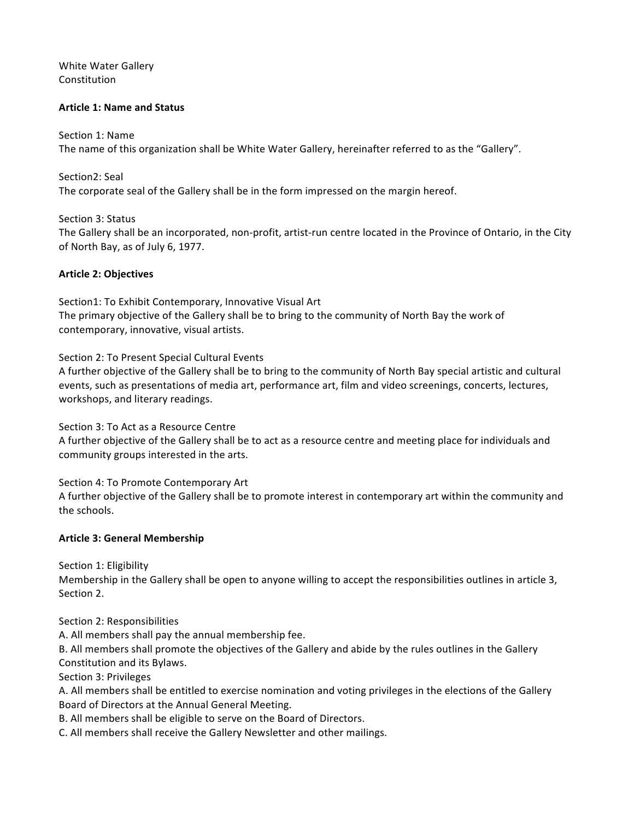White Water Gallery Constitution

#### **Article 1: Name and Status**

#### Section 1: Name

The name of this organization shall be White Water Gallery, hereinafter referred to as the "Gallery".

Section2: Seal The corporate seal of the Gallery shall be in the form impressed on the margin hereof.

Section 3: Status The Gallery shall be an incorporated, non-profit, artist-run centre located in the Province of Ontario, in the City of North Bay, as of July 6, 1977.

#### **Article 2: Objectives**

Section1: To Exhibit Contemporary, Innovative Visual Art The primary objective of the Gallery shall be to bring to the community of North Bay the work of contemporary, innovative, visual artists.

Section 2: To Present Special Cultural Events

A further objective of the Gallery shall be to bring to the community of North Bay special artistic and cultural events, such as presentations of media art, performance art, film and video screenings, concerts, lectures, workshops, and literary readings.

Section 3: To Act as a Resource Centre A further objective of the Gallery shall be to act as a resource centre and meeting place for individuals and community groups interested in the arts.

Section 4: To Promote Contemporary Art A further objective of the Gallery shall be to promote interest in contemporary art within the community and the schools.

#### **Article 3: General Membership**

Section 1: Eligibility

Membership in the Gallery shall be open to anyone willing to accept the responsibilities outlines in article 3, Section 2.

Section 2: Responsibilities

A. All members shall pay the annual membership fee.

B. All members shall promote the objectives of the Gallery and abide by the rules outlines in the Gallery Constitution and its Bylaws.

Section 3: Privileges

A. All members shall be entitled to exercise nomination and voting privileges in the elections of the Gallery Board of Directors at the Annual General Meeting.

B. All members shall be eligible to serve on the Board of Directors.

C. All members shall receive the Gallery Newsletter and other mailings.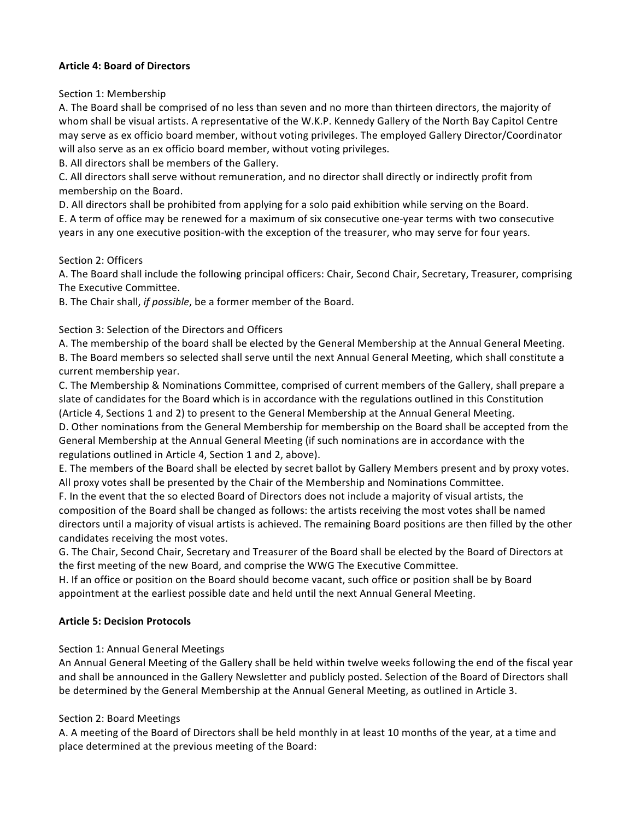#### **Article 4: Board of Directors**

Section 1: Membership

A. The Board shall be comprised of no less than seven and no more than thirteen directors, the majority of whom shall be visual artists. A representative of the W.K.P. Kennedy Gallery of the North Bay Capitol Centre may serve as ex officio board member, without voting privileges. The employed Gallery Director/Coordinator will also serve as an ex officio board member, without voting privileges.

B. All directors shall be members of the Gallery.

C. All directors shall serve without remuneration, and no director shall directly or indirectly profit from membership on the Board.

D. All directors shall be prohibited from applying for a solo paid exhibition while serving on the Board.

E. A term of office may be renewed for a maximum of six consecutive one-year terms with two consecutive years in any one executive position-with the exception of the treasurer, who may serve for four years.

Section 2: Officers

A. The Board shall include the following principal officers: Chair, Second Chair, Secretary, Treasurer, comprising The Executive Committee.

B. The Chair shall, *if possible*, be a former member of the Board.

Section 3: Selection of the Directors and Officers

A. The membership of the board shall be elected by the General Membership at the Annual General Meeting. B. The Board members so selected shall serve until the next Annual General Meeting, which shall constitute a current membership year.

C. The Membership & Nominations Committee, comprised of current members of the Gallery, shall prepare a slate of candidates for the Board which is in accordance with the regulations outlined in this Constitution (Article 4, Sections 1 and 2) to present to the General Membership at the Annual General Meeting.

D. Other nominations from the General Membership for membership on the Board shall be accepted from the General Membership at the Annual General Meeting (if such nominations are in accordance with the regulations outlined in Article 4, Section 1 and 2, above).

E. The members of the Board shall be elected by secret ballot by Gallery Members present and by proxy votes. All proxy votes shall be presented by the Chair of the Membership and Nominations Committee.

F. In the event that the so elected Board of Directors does not include a majority of visual artists, the composition of the Board shall be changed as follows: the artists receiving the most votes shall be named directors until a majority of visual artists is achieved. The remaining Board positions are then filled by the other candidates receiving the most votes.

G. The Chair, Second Chair, Secretary and Treasurer of the Board shall be elected by the Board of Directors at the first meeting of the new Board, and comprise the WWG The Executive Committee.

H. If an office or position on the Board should become vacant, such office or position shall be by Board appointment at the earliest possible date and held until the next Annual General Meeting.

### **Article 5: Decision Protocols**

### Section 1: Annual General Meetings

An Annual General Meeting of the Gallery shall be held within twelve weeks following the end of the fiscal year and shall be announced in the Gallery Newsletter and publicly posted. Selection of the Board of Directors shall be determined by the General Membership at the Annual General Meeting, as outlined in Article 3.

### Section 2: Board Meetings

A. A meeting of the Board of Directors shall be held monthly in at least 10 months of the year, at a time and place determined at the previous meeting of the Board: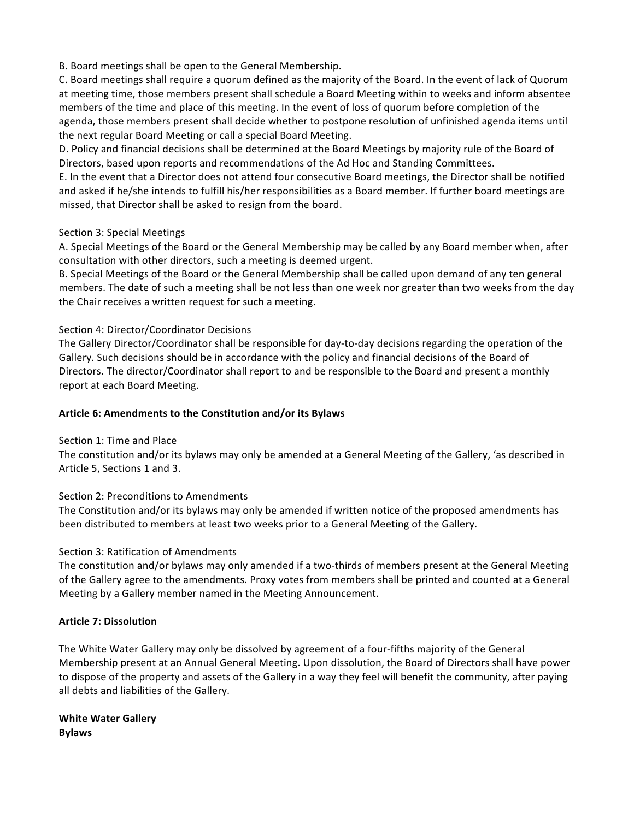B. Board meetings shall be open to the General Membership.

C. Board meetings shall require a quorum defined as the majority of the Board. In the event of lack of Quorum at meeting time, those members present shall schedule a Board Meeting within to weeks and inform absentee members of the time and place of this meeting. In the event of loss of quorum before completion of the agenda, those members present shall decide whether to postpone resolution of unfinished agenda items until the next regular Board Meeting or call a special Board Meeting.

D. Policy and financial decisions shall be determined at the Board Meetings by majority rule of the Board of Directors, based upon reports and recommendations of the Ad Hoc and Standing Committees.

E. In the event that a Director does not attend four consecutive Board meetings, the Director shall be notified and asked if he/she intends to fulfill his/her responsibilities as a Board member. If further board meetings are missed, that Director shall be asked to resign from the board.

#### Section 3: Special Meetings

A. Special Meetings of the Board or the General Membership may be called by any Board member when, after consultation with other directors, such a meeting is deemed urgent.

B. Special Meetings of the Board or the General Membership shall be called upon demand of any ten general members. The date of such a meeting shall be not less than one week nor greater than two weeks from the day the Chair receives a written request for such a meeting.

### Section 4: Director/Coordinator Decisions

The Gallery Director/Coordinator shall be responsible for day-to-day decisions regarding the operation of the Gallery. Such decisions should be in accordance with the policy and financial decisions of the Board of Directors. The director/Coordinator shall report to and be responsible to the Board and present a monthly report at each Board Meeting.

#### Article 6: Amendments to the Constitution and/or its Bylaws

#### Section 1: Time and Place

The constitution and/or its bylaws may only be amended at a General Meeting of the Gallery, 'as described in Article 5, Sections 1 and 3.

### Section 2: Preconditions to Amendments

The Constitution and/or its bylaws may only be amended if written notice of the proposed amendments has been distributed to members at least two weeks prior to a General Meeting of the Gallery.

### Section 3: Ratification of Amendments

The constitution and/or bylaws may only amended if a two-thirds of members present at the General Meeting of the Gallery agree to the amendments. Proxy votes from members shall be printed and counted at a General Meeting by a Gallery member named in the Meeting Announcement.

### **Article 7: Dissolution**

The White Water Gallery may only be dissolved by agreement of a four-fifths majority of the General Membership present at an Annual General Meeting. Upon dissolution, the Board of Directors shall have power to dispose of the property and assets of the Gallery in a way they feel will benefit the community, after paying all debts and liabilities of the Gallery.

**White Water Gallery Bylaws**